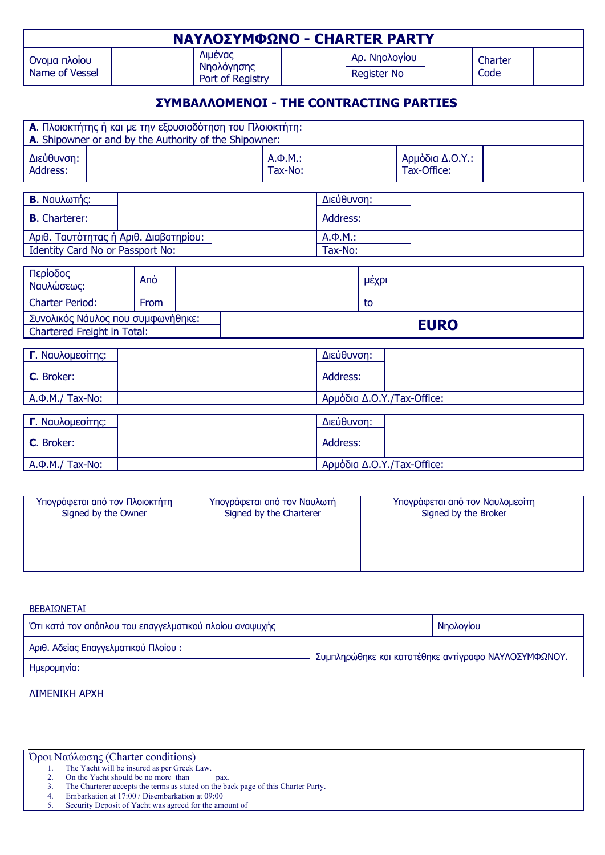| <b>ΝΑΥΛΟΣΥΜΦΩΝΟ - CHARTER PARTY</b> |                                                  |                                     |                 |  |
|-------------------------------------|--------------------------------------------------|-------------------------------------|-----------------|--|
| Ονομα πλοίου<br>Name of Vessel      | <b>Aluévac</b><br>Νηολόγησης<br>Port of Registry | Αρ. Νηολογίου<br><b>Register No</b> | Charter<br>Code |  |

## **ΣΥΜΒΑΛΛΟΜΕΝΟΙ - THE CONTRACTING PARTIES**

| <b>Α.</b> Πλοιοκτήτης ή και με την εξουσιοδότηση του Πλοιοκτήτη:<br><b>A.</b> Shipowner or and by the Authority of the Shipowner: |              |                 |  |
|-----------------------------------------------------------------------------------------------------------------------------------|--------------|-----------------|--|
| Διεύθυνση:                                                                                                                        | $A.\Phi.M.:$ | Αρμόδια Δ.Ο.Υ.: |  |
| Address:                                                                                                                          | Tax-No:      | Tax-Office:     |  |

| <b>B.</b> Ναυλωτής:                     |  |         | Διεύθυνση:   |  |
|-----------------------------------------|--|---------|--------------|--|
| <b>B.</b> Charterer:                    |  |         | Address:     |  |
| . Αριθ. Ταυτότητας ή Αριθ. Διαβατηρίου: |  |         | $A.\Phi.M.:$ |  |
| Identity Card No or Passport No:        |  | Tax-No: |              |  |

| Περίοδος<br>Ναυλώσεως:                                           | Ano         |  | μέχρι       |  |
|------------------------------------------------------------------|-------------|--|-------------|--|
| <b>Charter Period:</b>                                           | <b>From</b> |  | to          |  |
| Συνολικός Νάυλος που συμφωνήθηκε:<br>Chartered Freight in Total: |             |  | <b>EURO</b> |  |

| Γ. Ναυλομεσίτης:     | Διεύθυνση:                 |
|----------------------|----------------------------|
| C. Broker:           | Address:                   |
| $A.\Phi.M./$ Tax-No: | Aρμόδια Δ.O.Y./Tax-Office: |
|                      |                            |
| Γ. Ναυλομεσίτης:     | Διεύθυνση:                 |
| C. Broker:           | Address:                   |
| $A.\Phi.M./$ Tax-No: | Αρμόδια Δ.Ο.Υ./Tax-Office: |

| Υπογράφεται από τον Ναυλωτή<br>Signed by the Charterer | Υπογράφεται από τον Ναυλομεσίτη<br>Signed by the Broker |
|--------------------------------------------------------|---------------------------------------------------------|
|                                                        |                                                         |
|                                                        |                                                         |
|                                                        |                                                         |

| BEBAIΩNETAI                                             |                                                      |           |  |
|---------------------------------------------------------|------------------------------------------------------|-----------|--|
| Ότι κατά τον απόπλου του επαγγελματικού πλοίου αναψυχής |                                                      | Νηολογίου |  |
| Αριθ. Αδείας Επαγγελματικού Πλοίου:                     | Συμπληρώθηκε και κατατέθηκε αντίγραφο ΝΑΥΛΟΣΥΜΦΩΝΟΥ. |           |  |
| Ημερομηνία:                                             |                                                      |           |  |

## ΛΙΜΕΝΙΚΗ ΑΡΧΗ

| Όροι Ναύλωσης (Charter conditions) |  |  |
|------------------------------------|--|--|
|------------------------------------|--|--|

1. The Yacht will be insured as per Greek Law.

2. On the Yacht should be no more than pax. 3. The Charterer accepts the terms as stated on the back page of this Charter Party.

4. Embarkation at 17:00 / Disembarkation at 09:00

5. Security Deposit of Yacht was agreed for the amount of